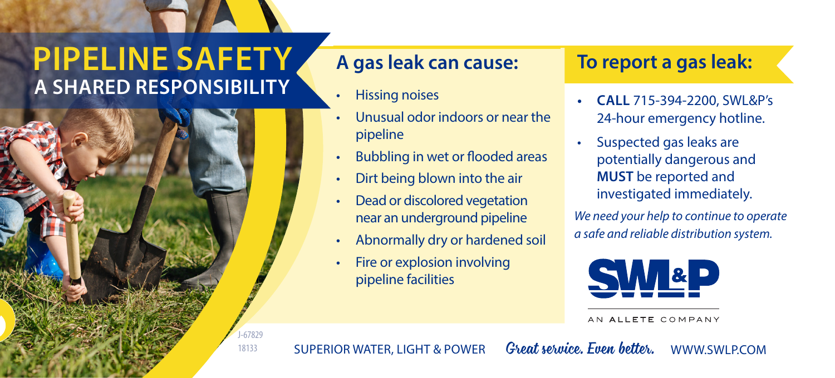## **A SHARED RESPONSIBILITY PIPELINE SAFETY**



#### **A gas leak can cause:**

- Hissing noises
- Unusual odor indoors or near the pipeline
- Bubbling in wet or flooded areas
- Dirt being blown into the air
- Dead or discolored vegetation near an underground pipeline
- Abnormally dry or hardened soil
- Fire or explosion involving pipeline facilities

### **To report a gas leak:**

- **• CALL** 715-394-2200, SWL&P's 24-hour emergency hotline.
- Suspected gas leaks are potentially dangerous and **MUST** be reported and investigated immediately.

*We need your help to continue to operate a safe and reliable distribution system.*



AN ALLETE COMPANY

SUPERIOR WATER, LIGHT & POWER *Great service. Even better.* WWW.SWLP.COM